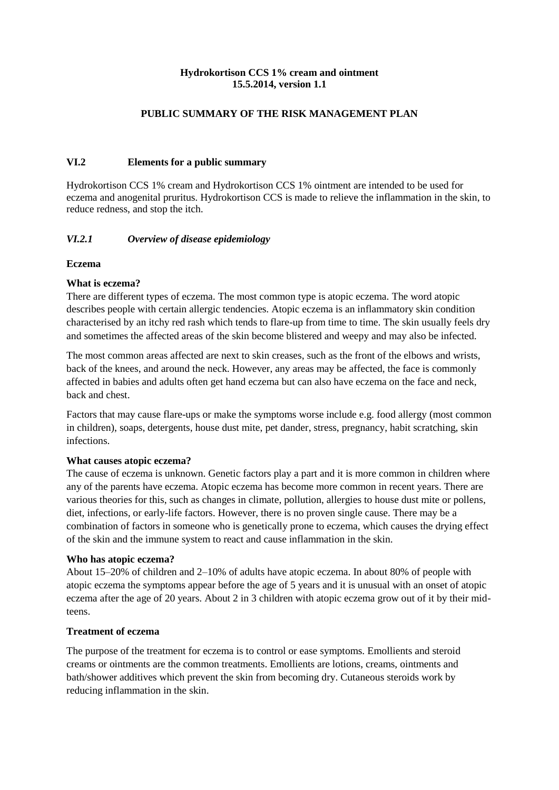### **Hydrokortison CCS 1% cream and ointment 15.5.2014, version 1.1**

### **PUBLIC SUMMARY OF THE RISK MANAGEMENT PLAN**

## **VI.2 Elements for a public summary**

Hydrokortison CCS 1% cream and Hydrokortison CCS 1% ointment are intended to be used for eczema and anogenital pruritus. Hydrokortison CCS is made to relieve the inflammation in the skin, to reduce redness, and stop the itch.

### *VI.2.1 Overview of disease epidemiology*

#### **Eczema**

### **What is eczema?**

There are different types of eczema. The most common type is atopic eczema. The word atopic describes people with certain allergic tendencies. Atopic eczema is an inflammatory skin condition characterised by an itchy red rash which tends to flare-up from time to time. The skin usually feels dry and sometimes the affected areas of the skin become blistered and weepy and may also be infected.

The most common areas affected are next to skin creases, such as the front of the elbows and wrists, back of the knees, and around the neck. However, any areas may be affected, the face is commonly affected in babies and adults often get hand eczema but can also have eczema on the face and neck, back and chest.

Factors that may cause flare-ups or make the symptoms worse include e.g. food allergy (most common in children), soaps, detergents, house dust mite, pet dander, stress, pregnancy, habit scratching, skin infections.

#### **What causes atopic eczema?**

The cause of eczema is unknown. Genetic factors play a part and it is more common in children where any of the parents have eczema. Atopic eczema has become more common in recent years. There are various theories for this, such as changes in climate, pollution, allergies to house dust mite or pollens, diet, infections, or early-life factors. However, there is no proven single cause. There may be a combination of factors in someone who is genetically prone to eczema, which causes the drying effect of the skin and the immune system to react and cause inflammation in the skin.

#### **Who has atopic eczema?**

About 15–20% of children and 2–10% of adults have atopic eczema. In about 80% of people with atopic eczema the symptoms appear before the age of 5 years and it is unusual with an onset of atopic eczema after the age of 20 years. About 2 in 3 children with atopic eczema grow out of it by their midteens.

#### **Treatment of eczema**

The purpose of the treatment for eczema is to control or ease symptoms. Emollients and steroid creams or ointments are the common treatments. Emollients are lotions, creams, ointments and bath/shower additives which prevent the skin from becoming dry. Cutaneous steroids work by reducing inflammation in the skin.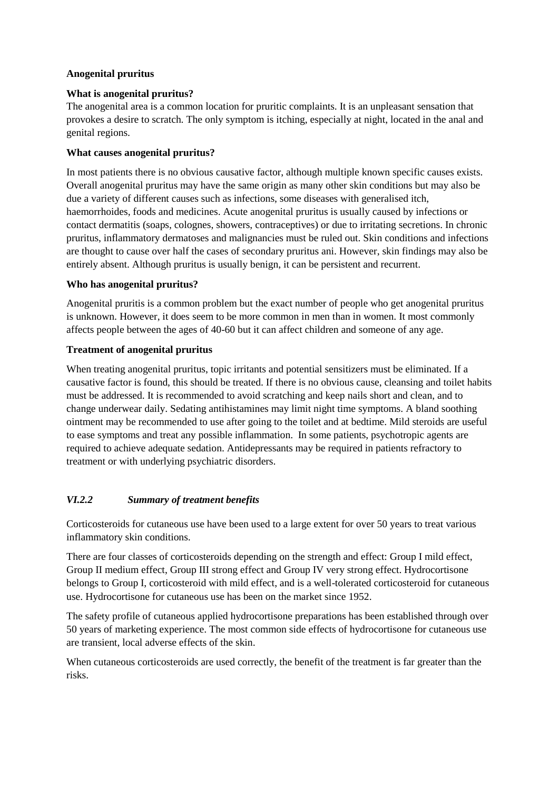### **Anogenital pruritus**

### **What is anogenital pruritus?**

The anogenital area is a common location for pruritic complaints. It is an unpleasant sensation that provokes a desire to scratch. The only symptom is itching, especially at night, located in the anal and genital regions.

#### **What causes anogenital pruritus?**

In most patients there is no obvious causative factor, although multiple known specific causes exists. Overall anogenital pruritus may have the same origin as many other skin conditions but may also be due a variety of different causes such as infections, some diseases with generalised itch, haemorrhoides, foods and medicines. Acute anogenital pruritus is usually caused by infections or contact dermatitis (soaps, colognes, showers, contraceptives) or due to irritating secretions. In chronic pruritus, inflammatory dermatoses and malignancies must be ruled out. Skin conditions and infections are thought to cause over half the cases of secondary pruritus ani. However, skin findings may also be entirely absent. Although pruritus is usually benign, it can be persistent and recurrent.

### **Who has anogenital pruritus?**

Anogenital pruritis is a common problem but the exact number of people who get anogenital pruritus is unknown. However, it does seem to be more common in men than in women. It most commonly affects people between the ages of 40-60 but it can affect children and someone of any age.

### **Treatment of anogenital pruritus**

When treating anogenital pruritus, topic irritants and potential sensitizers must be eliminated. If a causative factor is found, this should be treated. If there is no obvious cause, cleansing and toilet habits must be addressed. It is recommended to avoid scratching and keep nails short and clean, and to change underwear daily. Sedating antihistamines may limit night time symptoms. A bland soothing ointment may be recommended to use after going to the toilet and at bedtime. Mild steroids are useful to ease symptoms and treat any possible inflammation. In some patients, psychotropic agents are required to achieve adequate sedation. Antidepressants may be required in patients refractory to treatment or with underlying psychiatric disorders.

# *VI.2.2 Summary of treatment benefits*

Corticosteroids for cutaneous use have been used to a large extent for over 50 years to treat various inflammatory skin conditions.

There are four classes of corticosteroids depending on the strength and effect: Group I mild effect, Group II medium effect, Group III strong effect and Group IV very strong effect. Hydrocortisone belongs to Group I, corticosteroid with mild effect, and is a well-tolerated corticosteroid for cutaneous use. Hydrocortisone for cutaneous use has been on the market since 1952.

The safety profile of cutaneous applied hydrocortisone preparations has been established through over 50 years of marketing experience. The most common side effects of hydrocortisone for cutaneous use are transient, local adverse effects of the skin.

When cutaneous corticosteroids are used correctly, the benefit of the treatment is far greater than the risks.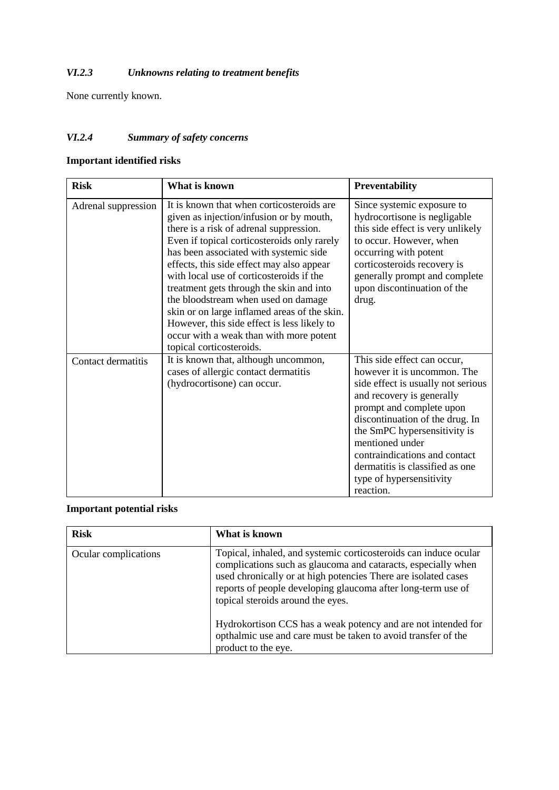# *VI.2.3 Unknowns relating to treatment benefits*

None currently known.

# *VI.2.4 Summary of safety concerns*

# **Important identified risks**

| <b>Risk</b>         | What is known                                                                                                                                                                                                                                                                                                                                                                                                                                                                                                                                                               | <b>Preventability</b>                                                                                                                                                                                                                                                                                                                                        |
|---------------------|-----------------------------------------------------------------------------------------------------------------------------------------------------------------------------------------------------------------------------------------------------------------------------------------------------------------------------------------------------------------------------------------------------------------------------------------------------------------------------------------------------------------------------------------------------------------------------|--------------------------------------------------------------------------------------------------------------------------------------------------------------------------------------------------------------------------------------------------------------------------------------------------------------------------------------------------------------|
| Adrenal suppression | It is known that when corticosteroids are<br>given as injection/infusion or by mouth,<br>there is a risk of adrenal suppression.<br>Even if topical corticosteroids only rarely<br>has been associated with systemic side<br>effects, this side effect may also appear<br>with local use of corticosteroids if the<br>treatment gets through the skin and into<br>the bloodstream when used on damage<br>skin or on large inflamed areas of the skin.<br>However, this side effect is less likely to<br>occur with a weak than with more potent<br>topical corticosteroids. | Since systemic exposure to<br>hydrocortisone is negligable<br>this side effect is very unlikely<br>to occur. However, when<br>occurring with potent<br>corticosteroids recovery is<br>generally prompt and complete<br>upon discontinuation of the<br>drug.                                                                                                  |
| Contact dermatitis  | It is known that, although uncommon,<br>cases of allergic contact dermatitis<br>(hydrocortisone) can occur.                                                                                                                                                                                                                                                                                                                                                                                                                                                                 | This side effect can occur,<br>however it is uncommon. The<br>side effect is usually not serious<br>and recovery is generally<br>prompt and complete upon<br>discontinuation of the drug. In<br>the SmPC hypersensitivity is<br>mentioned under<br>contraindications and contact<br>dermatitis is classified as one<br>type of hypersensitivity<br>reaction. |

# **Important potential risks**

| <b>Risk</b>          | What is known                                                                                                                                                                                                                                                                                            |
|----------------------|----------------------------------------------------------------------------------------------------------------------------------------------------------------------------------------------------------------------------------------------------------------------------------------------------------|
| Ocular complications | Topical, inhaled, and systemic corticosteroids can induce ocular<br>complications such as glaucoma and cataracts, especially when<br>used chronically or at high potencies There are isolated cases<br>reports of people developing glaucoma after long-term use of<br>topical steroids around the eyes. |
|                      | Hydrokortison CCS has a weak potency and are not intended for<br>opthalmic use and care must be taken to avoid transfer of the<br>product to the eye.                                                                                                                                                    |